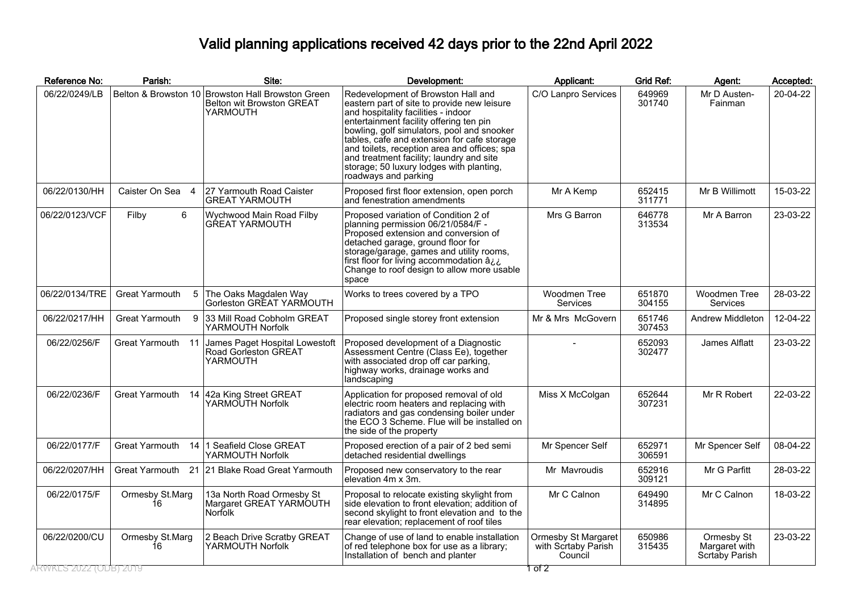## Valid planning applications received 42 days prior to the 22nd April 2022

| Reference No:                           | Parish:                     | Site:                                                                                      | Development:                                                                                                                                                                                                                                                                                                                                                                                                                     | Applicant:                                                      | <b>Grid Ref:</b> | Agent:                                        | Accepted: |
|-----------------------------------------|-----------------------------|--------------------------------------------------------------------------------------------|----------------------------------------------------------------------------------------------------------------------------------------------------------------------------------------------------------------------------------------------------------------------------------------------------------------------------------------------------------------------------------------------------------------------------------|-----------------------------------------------------------------|------------------|-----------------------------------------------|-----------|
| 06/22/0249/LB                           |                             | Belton & Browston 10 Browston Hall Browston Green<br>Belton wit Browston GREAT<br>YARMOUTH | Redevelopment of Browston Hall and<br>eastern part of site to provide new leisure<br>and hospitality facilities - indoor<br>entertainment facility offering ten pin<br>bowling, golf simulators, pool and snooker<br>tables, cafe and extension for cafe storage<br>and toilets, reception area and offices; spa<br>and treatment facility; laundry and site<br>storage; 50 luxury lodges with planting,<br>roadways and parking | C/O Lanpro Services                                             | 649969<br>301740 | Mr D Austen-<br>Fainman                       | 20-04-22  |
| 06/22/0130/HH                           | Caister On Sea 4            | 27 Yarmouth Road Caister<br><b>GREAT YARMOUTH</b>                                          | Proposed first floor extension, open porch<br>and fenestration amendments                                                                                                                                                                                                                                                                                                                                                        | Mr A Kemp                                                       | 652415<br>311771 | Mr B Willimott                                | 15-03-22  |
| 06/22/0123/VCF                          | 6<br>Filby                  | Wychwood Main Road Filby<br><b>GREAT YARMOUTH</b>                                          | Proposed variation of Condition 2 of<br>planning permission 06/21/0584/F -<br>Proposed extension and conversion of<br>detached garage, ground floor for<br>storage/garage, games and utility rooms,<br>first floor for living accommodation âil.<br>Change to roof design to allow more usable<br>space                                                                                                                          | Mrs G Barron                                                    | 646778<br>313534 | Mr A Barron                                   | 23-03-22  |
| 06/22/0134/TRE                          | Great Yarmouth<br>5         | The Oaks Magdalen Way<br>Gorleston GREAT YARMOUTH                                          | Works to trees covered by a TPO                                                                                                                                                                                                                                                                                                                                                                                                  | Woodmen Tree<br>Services                                        | 651870<br>304155 | Woodmen Tree<br>Services                      | 28-03-22  |
| 06/22/0217/HH                           | Great Yarmouth<br>9         | 33 Mill Road Cobholm GREAT<br>YARMOUTH Norfolk                                             | Proposed single storey front extension                                                                                                                                                                                                                                                                                                                                                                                           | Mr & Mrs McGovern                                               | 651746<br>307453 | Andrew Middleton                              | 12-04-22  |
| 06/22/0256/F                            | Great Yarmouth 11           | James Paget Hospital Lowestoft<br>Road Gorleston GREAT<br>YARMOUTH                         | Proposed development of a Diagnostic<br>Assessment Centre (Class Ee), together<br>with associated drop off car parking,<br>highway works, drainage works and<br>landscaping                                                                                                                                                                                                                                                      |                                                                 | 652093<br>302477 | James Alflatt                                 | 23-03-22  |
| 06/22/0236/F                            | <b>Great Yarmouth</b><br>14 | 42a King Street GREAT<br>YARMOUTH Norfolk                                                  | Application for proposed removal of old<br>electric room heaters and replacing with<br>radiators and gas condensing boiler under<br>the ECO 3 Scheme. Flue will be installed on<br>the side of the property                                                                                                                                                                                                                      | Miss X McColgan                                                 | 652644<br>307231 | Mr R Robert                                   | 22-03-22  |
| 06/22/0177/F                            | <b>Great Yarmouth</b><br>14 | 1 Seafield Close GREAT<br>YARMOUTH Norfolk                                                 | Proposed erection of a pair of 2 bed semi<br>detached residential dwellings                                                                                                                                                                                                                                                                                                                                                      | Mr Spencer Self                                                 | 652971<br>306591 | Mr Spencer Self                               | 08-04-22  |
| 06/22/0207/HH                           | Great Yarmouth 21           | 21 Blake Road Great Yarmouth                                                               | Proposed new conservatory to the rear<br>elevation 4m x 3m.                                                                                                                                                                                                                                                                                                                                                                      | Mr Mavroudis                                                    | 652916<br>309121 | Mr G Parfitt                                  | 28-03-22  |
| 06/22/0175/F                            | Ormesby St.Marg<br>16       | 13a North Road Ormesby St<br>Margaret GREAT YARMOUTH<br>Norfolk                            | Proposal to relocate existing skylight from<br>side elevation to front elevation: addition of<br>second skylight to front elevation and to the<br>rear elevation; replacement of roof tiles                                                                                                                                                                                                                                      | Mr C Calnon                                                     | 649490<br>314895 | Mr C Calnon                                   | 18-03-22  |
| 06/22/0200/CU<br>ARWKES 2022 (ODB) 2019 | Ormesby St.Marg<br>16       | 2 Beach Drive Scratby GREAT<br>YARMOUTH Norfolk                                            | Change of use of land to enable installation<br>of red telephone box for use as a library;<br>Installation of bench and planter                                                                                                                                                                                                                                                                                                  | Ormesby St Margaret<br>with Scrtaby Parish<br>Council<br>1 of 2 | 650986<br>315435 | Ormesby St<br>Margaret with<br>Scrtaby Parish | 23-03-22  |